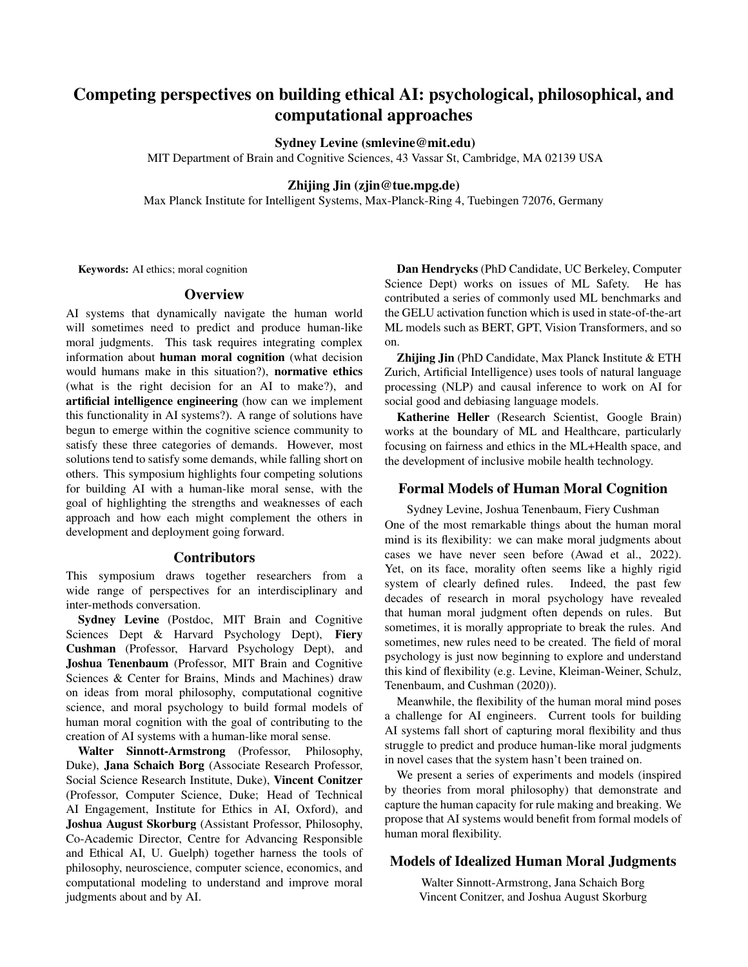# Competing perspectives on building ethical AI: psychological, philosophical, and computational approaches

## Sydney Levine (smlevine@mit.edu)

MIT Department of Brain and Cognitive Sciences, 43 Vassar St, Cambridge, MA 02139 USA

### Zhijing Jin (zjin@tue.mpg.de)

Max Planck Institute for Intelligent Systems, Max-Planck-Ring 4, Tuebingen 72076, Germany

Keywords: AI ethics; moral cognition

## **Overview**

AI systems that dynamically navigate the human world will sometimes need to predict and produce human-like moral judgments. This task requires integrating complex information about human moral cognition (what decision would humans make in this situation?), normative ethics (what is the right decision for an AI to make?), and artificial intelligence engineering (how can we implement this functionality in AI systems?). A range of solutions have begun to emerge within the cognitive science community to satisfy these three categories of demands. However, most solutions tend to satisfy some demands, while falling short on others. This symposium highlights four competing solutions for building AI with a human-like moral sense, with the goal of highlighting the strengths and weaknesses of each approach and how each might complement the others in development and deployment going forward.

#### Contributors

This symposium draws together researchers from a wide range of perspectives for an interdisciplinary and inter-methods conversation.

Sydney Levine (Postdoc, MIT Brain and Cognitive Sciences Dept & Harvard Psychology Dept), Fiery Cushman (Professor, Harvard Psychology Dept), and Joshua Tenenbaum (Professor, MIT Brain and Cognitive Sciences & Center for Brains, Minds and Machines) draw on ideas from moral philosophy, computational cognitive science, and moral psychology to build formal models of human moral cognition with the goal of contributing to the creation of AI systems with a human-like moral sense.

Walter Sinnott-Armstrong (Professor, Philosophy, Duke), Jana Schaich Borg (Associate Research Professor, Social Science Research Institute, Duke), Vincent Conitzer (Professor, Computer Science, Duke; Head of Technical AI Engagement, Institute for Ethics in AI, Oxford), and Joshua August Skorburg (Assistant Professor, Philosophy, Co-Academic Director, Centre for Advancing Responsible and Ethical AI, U. Guelph) together harness the tools of philosophy, neuroscience, computer science, economics, and computational modeling to understand and improve moral judgments about and by AI.

Dan Hendrycks (PhD Candidate, UC Berkeley, Computer Science Dept) works on issues of ML Safety. He has contributed a series of commonly used ML benchmarks and the GELU activation function which is used in state-of-the-art ML models such as BERT, GPT, Vision Transformers, and so on.

Zhijing Jin (PhD Candidate, Max Planck Institute & ETH Zurich, Artificial Intelligence) uses tools of natural language processing (NLP) and causal inference to work on AI for social good and debiasing language models.

Katherine Heller (Research Scientist, Google Brain) works at the boundary of ML and Healthcare, particularly focusing on fairness and ethics in the ML+Health space, and the development of inclusive mobile health technology.

# Formal Models of Human Moral Cognition

Sydney Levine, Joshua Tenenbaum, Fiery Cushman One of the most remarkable things about the human moral mind is its flexibility: we can make moral judgments about cases we have never seen before (Awad et al., 2022). Yet, on its face, morality often seems like a highly rigid system of clearly defined rules. Indeed, the past few decades of research in moral psychology have revealed that human moral judgment often depends on rules. But sometimes, it is morally appropriate to break the rules. And sometimes, new rules need to be created. The field of moral psychology is just now beginning to explore and understand this kind of flexibility (e.g. Levine, Kleiman-Weiner, Schulz, Tenenbaum, and Cushman (2020)).

Meanwhile, the flexibility of the human moral mind poses a challenge for AI engineers. Current tools for building AI systems fall short of capturing moral flexibility and thus struggle to predict and produce human-like moral judgments in novel cases that the system hasn't been trained on.

We present a series of experiments and models (inspired by theories from moral philosophy) that demonstrate and capture the human capacity for rule making and breaking. We propose that AI systems would benefit from formal models of human moral flexibility.

# Models of Idealized Human Moral Judgments

Walter Sinnott-Armstrong, Jana Schaich Borg Vincent Conitzer, and Joshua August Skorburg